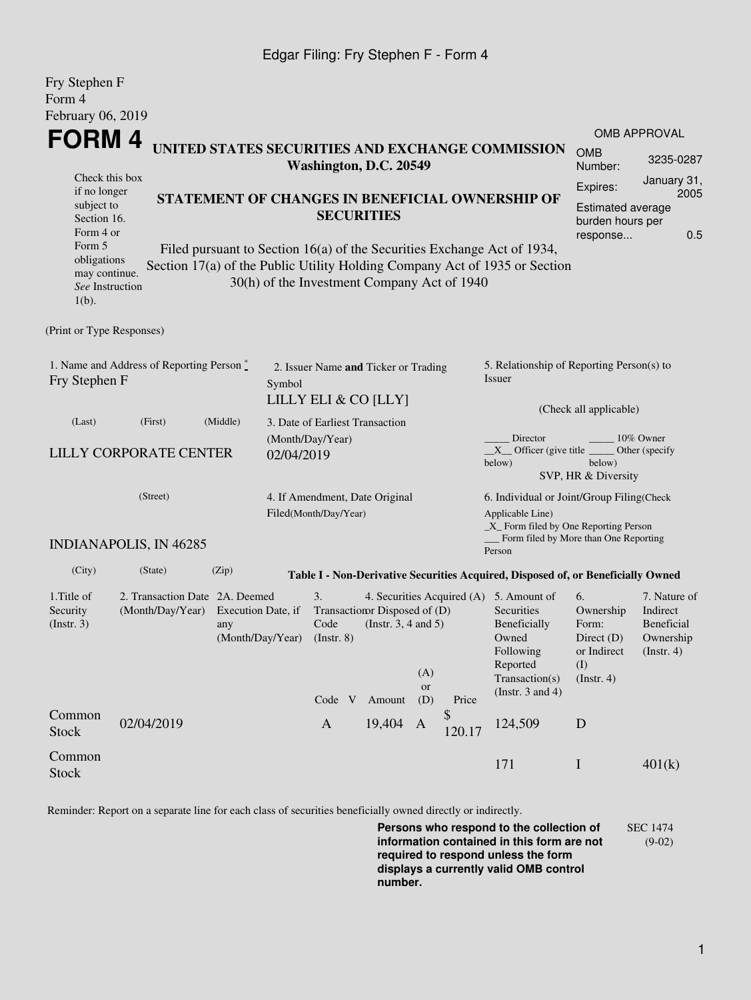## Edgar Filing: Fry Stephen F - Form 4

| Fry Stephen F                                                                                                                                                                                                    |                               |                                                                                 |                                 |                                                         |                                                                                                                                         |           |                                                                                                    |                                                                                                                                                    |                                                                               |                                                                         |  |  |
|------------------------------------------------------------------------------------------------------------------------------------------------------------------------------------------------------------------|-------------------------------|---------------------------------------------------------------------------------|---------------------------------|---------------------------------------------------------|-----------------------------------------------------------------------------------------------------------------------------------------|-----------|----------------------------------------------------------------------------------------------------|----------------------------------------------------------------------------------------------------------------------------------------------------|-------------------------------------------------------------------------------|-------------------------------------------------------------------------|--|--|
| Form 4                                                                                                                                                                                                           |                               |                                                                                 |                                 |                                                         |                                                                                                                                         |           |                                                                                                    |                                                                                                                                                    |                                                                               |                                                                         |  |  |
| February 06, 2019                                                                                                                                                                                                |                               |                                                                                 |                                 |                                                         |                                                                                                                                         |           |                                                                                                    |                                                                                                                                                    |                                                                               | <b>OMB APPROVAL</b>                                                     |  |  |
| FORM 4<br>UNITED STATES SECURITIES AND EXCHANGE COMMISSION<br>Washington, D.C. 20549                                                                                                                             |                               |                                                                                 |                                 |                                                         |                                                                                                                                         |           |                                                                                                    |                                                                                                                                                    |                                                                               | 3235-0287                                                               |  |  |
| Check this box<br>if no longer<br>STATEMENT OF CHANGES IN BENEFICIAL OWNERSHIP OF<br>subject to<br>Section 16.<br>Form 4 or<br>Form 5<br>Filed pursuant to Section 16(a) of the Securities Exchange Act of 1934, |                               |                                                                                 |                                 |                                                         | <b>SECURITIES</b>                                                                                                                       |           | January 31,<br>Expires:<br>2005<br><b>Estimated average</b><br>burden hours per<br>0.5<br>response |                                                                                                                                                    |                                                                               |                                                                         |  |  |
| obligations<br>may continue.<br>See Instruction<br>$1(b)$ .                                                                                                                                                      |                               |                                                                                 |                                 | 30(h) of the Investment Company Act of 1940             |                                                                                                                                         |           |                                                                                                    | Section 17(a) of the Public Utility Holding Company Act of 1935 or Section                                                                         |                                                                               |                                                                         |  |  |
| (Print or Type Responses)                                                                                                                                                                                        |                               |                                                                                 |                                 |                                                         |                                                                                                                                         |           |                                                                                                    |                                                                                                                                                    |                                                                               |                                                                         |  |  |
| 1. Name and Address of Reporting Person *<br>Fry Stephen F                                                                                                                                                       | Symbol                        | 2. Issuer Name and Ticker or Trading<br>LILLY ELI & CO [LLY]                    |                                 |                                                         | 5. Relationship of Reporting Person(s) to<br>Issuer<br>(Check all applicable)                                                           |           |                                                                                                    |                                                                                                                                                    |                                                                               |                                                                         |  |  |
| (Last)                                                                                                                                                                                                           | (First)                       | (Middle)                                                                        | 3. Date of Earliest Transaction |                                                         |                                                                                                                                         |           |                                                                                                    |                                                                                                                                                    |                                                                               |                                                                         |  |  |
| <b>LILLY CORPORATE CENTER</b>                                                                                                                                                                                    | 02/04/2019                    | (Month/Day/Year)                                                                |                                 |                                                         | Director<br>10% Owner<br>$X$ Officer (give title $\overline{\phantom{a}}$<br>Other (specify)<br>below)<br>below)<br>SVP, HR & Diversity |           |                                                                                                    |                                                                                                                                                    |                                                                               |                                                                         |  |  |
| (Street)                                                                                                                                                                                                         |                               |                                                                                 |                                 | 4. If Amendment, Date Original<br>Filed(Month/Day/Year) |                                                                                                                                         |           |                                                                                                    | 6. Individual or Joint/Group Filing(Check<br>Applicable Line)<br>$\_X$ Form filed by One Reporting Person<br>Form filed by More than One Reporting |                                                                               |                                                                         |  |  |
|                                                                                                                                                                                                                  | <b>INDIANAPOLIS, IN 46285</b> |                                                                                 |                                 |                                                         |                                                                                                                                         |           |                                                                                                    | Person                                                                                                                                             |                                                                               |                                                                         |  |  |
| (City)                                                                                                                                                                                                           | (State)                       | (Zip)                                                                           |                                 |                                                         |                                                                                                                                         |           |                                                                                                    | Table I - Non-Derivative Securities Acquired, Disposed of, or Beneficially Owned                                                                   |                                                                               |                                                                         |  |  |
| 1. Title of<br>Security<br>(Month/Day/Year)<br>(Insert. 3)                                                                                                                                                       |                               | 2. Transaction Date 2A. Deemed<br>Execution Date, if<br>any<br>(Month/Day/Year) |                                 | 3.<br>Code<br>$($ Instr. 8 $)$                          | Transaction Disposed of (D)<br>(Instr. $3, 4$ and $5$ )                                                                                 | (A)       |                                                                                                    | 4. Securities Acquired (A) 5. Amount of<br><b>Securities</b><br>Beneficially<br>Owned<br>Following<br>Reported<br>Transaction(s)                   | 6.<br>Ownership<br>Form:<br>Direct $(D)$<br>or Indirect<br>(I)<br>(Insert. 4) | 7. Nature of<br>Indirect<br>Beneficial<br>Ownership<br>$($ Instr. 4 $)$ |  |  |
|                                                                                                                                                                                                                  |                               |                                                                                 |                                 | Code V                                                  | Amount                                                                                                                                  | or<br>(D) | Price                                                                                              | (Instr. $3$ and $4$ )                                                                                                                              |                                                                               |                                                                         |  |  |
| Common<br><b>Stock</b>                                                                                                                                                                                           | 02/04/2019                    |                                                                                 |                                 | $\mathbf{A}$                                            | 19,404                                                                                                                                  | A         | \$<br>120.17                                                                                       | 124,509                                                                                                                                            | D                                                                             |                                                                         |  |  |
| Common<br><b>Stock</b>                                                                                                                                                                                           |                               |                                                                                 |                                 |                                                         |                                                                                                                                         |           |                                                                                                    | 171                                                                                                                                                | $\mathbf I$                                                                   | 401(k)                                                                  |  |  |

Reminder: Report on a separate line for each class of securities beneficially owned directly or indirectly.

**Persons who respond to the collection of information contained in this form are not required to respond unless the form displays a currently valid OMB control number.** SEC 1474 (9-02)